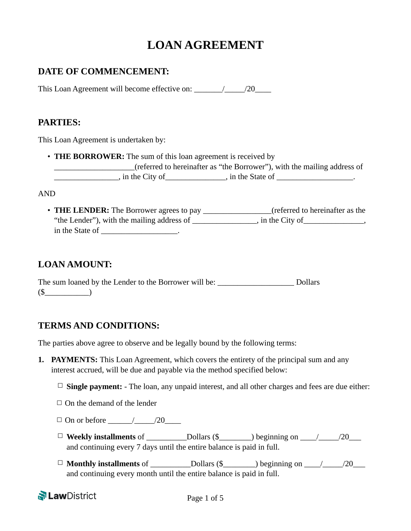# **LOAN AGREEMENT**

# **DATE OF COMMENCEMENT:**

This Loan Agreement will become effective on: \_\_\_\_\_\_\_/\_\_\_\_\_/20\_\_\_\_

## **PARTIES:**

This Loan Agreement is undertaken by:

• **THE BORROWER:** The sum of this loan agreement is received by

\_\_\_\_\_\_\_\_\_\_\_\_\_\_\_\_\_\_\_\_(referred to hereinafter as "the Borrower"), with the mailing address of  $\therefore$  in the City of \_\_\_\_\_\_\_\_\_\_, in the State of \_\_\_\_\_\_\_\_\_\_\_\_\_\_.

#### AND

• **THE LENDER:** The Borrower agrees to pay \_\_\_\_\_\_\_\_\_\_\_\_\_\_\_\_\_(referred to hereinafter as the "the Lender"), with the mailing address of \_\_\_\_\_\_\_\_\_\_, in the City of \_\_\_\_\_\_\_\_\_, in the State of  $\qquad \qquad$ 

# **LOAN AMOUNT:**

The sum loaned by the Lender to the Borrower will be: \_\_\_\_\_\_\_\_\_\_\_\_\_\_\_\_\_\_\_\_\_\_\_\_\_\_ Dollars  $(\S$ 

## **TERMS AND CONDITIONS:**

The parties above agree to observe and be legally bound by the following terms:

- **1. PAYMENTS:** This Loan Agreement, which covers the entirety of the principal sum and any interest accrued, will be due and payable via the method specified below:
	- $\Box$  **Single payment:** The loan, any unpaid interest, and all other charges and fees are due either:
	- $\Box$  On the demand of the lender
	- ☐ On or before \_\_\_\_\_\_/\_\_\_\_\_/20\_\_\_\_
	- ☐ **Weekly installments** of \_\_\_\_\_\_\_\_\_\_Dollars (\$\_\_\_\_\_\_\_\_) beginning on \_\_\_\_/\_\_\_\_\_/20\_\_\_ and continuing every 7 days until the entire balance is paid in full.
	- ☐ **Monthly installments** of \_\_\_\_\_\_\_\_\_\_Dollars (\$\_\_\_\_\_\_\_\_) beginning on \_\_\_\_/\_\_\_\_\_/20\_\_\_ and continuing every month until the entire balance is paid in full.

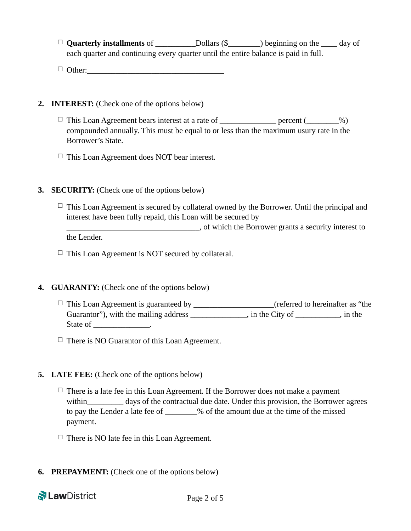- ☐ **Quarterly installments** of \_\_\_\_\_\_\_\_\_\_Dollars (\$\_\_\_\_\_\_\_\_) beginning on the \_\_\_\_ day of each quarter and continuing every quarter until the entire balance is paid in full.
- $\Box$  Other:

#### **2. INTEREST:** (Check one of the options below)

- $\Box$  This Loan Agreement bears interest at a rate of \_\_\_\_\_\_\_\_\_\_\_\_\_\_\_ percent (\_\_\_\_\_\_\_%) compounded annually. This must be equal to or less than the maximum usury rate in the Borrower's State.
- $\Box$  This Loan Agreement does NOT bear interest.

#### **3. SECURITY:** (Check one of the options below)

 $\Box$  This Loan Agreement is secured by collateral owned by the Borrower. Until the principal and interest have been fully repaid, this Loan will be secured by \_\_\_\_\_\_\_\_\_\_\_\_\_\_\_\_\_\_\_\_\_\_\_\_\_\_\_\_\_\_\_\_\_, of which the Borrower grants a security interest to

the Lender.

 $\Box$  This Loan Agreement is NOT secured by collateral.

### **4. GUARANTY:** (Check one of the options below)

- $\Box$  This Loan Agreement is guaranteed by \_\_\_\_\_\_\_\_\_\_\_\_\_\_\_\_\_\_(referred to hereinafter as "the Guarantor"), with the mailing address \_\_\_\_\_\_\_\_\_\_\_, in the City of \_\_\_\_\_\_\_\_, in the State of the contract of the state of the state of the state of the state of the state of the state of the state of the state of the state of the state of the state of the state of the state of the state of the state of th
- $\Box$  There is NO Guarantor of this Loan Agreement.

#### **5. LATE FEE:** (Check one of the options below)

- $\Box$  There is a late fee in this Loan Agreement. If the Borrower does not make a payment within days of the contractual due date. Under this provision, the Borrower agrees to pay the Lender a late fee of \_\_\_\_\_\_\_\_% of the amount due at the time of the missed payment.
- $\Box$  There is NO late fee in this Loan Agreement.
- **6. PREPAYMENT:** (Check one of the options below)

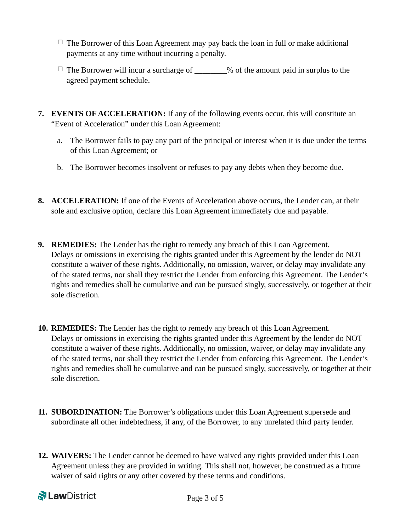- $\Box$  The Borrower of this Loan Agreement may pay back the loan in full or make additional payments at any time without incurring a penalty.
- $\Box$  The Borrower will incur a surcharge of  $\%$  of the amount paid in surplus to the agreed payment schedule.
- **7. EVENTS OF ACCELERATION:** If any of the following events occur, this will constitute an "Event of Acceleration" under this Loan Agreement:
	- a. The Borrower fails to pay any part of the principal or interest when it is due under the terms of this Loan Agreement; or
	- b. The Borrower becomes insolvent or refuses to pay any debts when they become due.
- **8. ACCELERATION:** If one of the Events of Acceleration above occurs, the Lender can, at their sole and exclusive option, declare this Loan Agreement immediately due and payable.
- **9. REMEDIES:** The Lender has the right to remedy any breach of this Loan Agreement. Delays or omissions in exercising the rights granted under this Agreement by the lender do NOT constitute a waiver of these rights. Additionally, no omission, waiver, or delay may invalidate any of the stated terms, nor shall they restrict the Lender from enforcing this Agreement. The Lender's rights and remedies shall be cumulative and can be pursued singly, successively, or together at their sole discretion.
- **10. REMEDIES:** The Lender has the right to remedy any breach of this Loan Agreement. Delays or omissions in exercising the rights granted under this Agreement by the lender do NOT constitute a waiver of these rights. Additionally, no omission, waiver, or delay may invalidate any of the stated terms, nor shall they restrict the Lender from enforcing this Agreement. The Lender's rights and remedies shall be cumulative and can be pursued singly, successively, or together at their sole discretion.
- **11. SUBORDINATION:** The Borrower's obligations under this Loan Agreement supersede and subordinate all other indebtedness, if any, of the Borrower, to any unrelated third party lender.
- **12. WAIVERS:** The Lender cannot be deemed to have waived any rights provided under this Loan Agreement unless they are provided in writing. This shall not, however, be construed as a future waiver of said rights or any other covered by these terms and conditions.

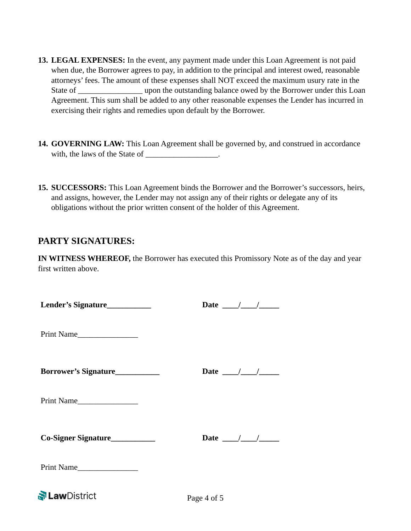- **13. LEGAL EXPENSES:** In the event, any payment made under this Loan Agreement is not paid when due, the Borrower agrees to pay, in addition to the principal and interest owed, reasonable attorneys' fees. The amount of these expenses shall NOT exceed the maximum usury rate in the State of \_\_\_\_\_\_\_\_\_\_\_\_\_\_\_\_\_ upon the outstanding balance owed by the Borrower under this Loan Agreement. This sum shall be added to any other reasonable expenses the Lender has incurred in exercising their rights and remedies upon default by the Borrower.
- **14. GOVERNING LAW:** This Loan Agreement shall be governed by, and construed in accordance with, the laws of the State of \_\_\_\_\_\_\_\_\_\_\_\_\_\_\_.
- **15. SUCCESSORS:** This Loan Agreement binds the Borrower and the Borrower's successors, heirs, and assigns, however, the Lender may not assign any of their rights or delegate any of its obligations without the prior written consent of the holder of this Agreement.

# **PARTY SIGNATURES:**

**IN WITNESS WHEREOF,** the Borrower has executed this Promissory Note as of the day and year first written above.

| Lender's Signature____________ | Date $\frac{\sqrt{2}}{2}$             |  |
|--------------------------------|---------------------------------------|--|
| Print Name                     |                                       |  |
| Borrower's Signature           | Date $\frac{1}{\sqrt{1-\frac{1}{2}}}$ |  |
| Print Name                     |                                       |  |
| Co-Signer Signature            | Date $\frac{1}{\sqrt{1-\frac{1}{2}}}$ |  |
| Print Name                     |                                       |  |